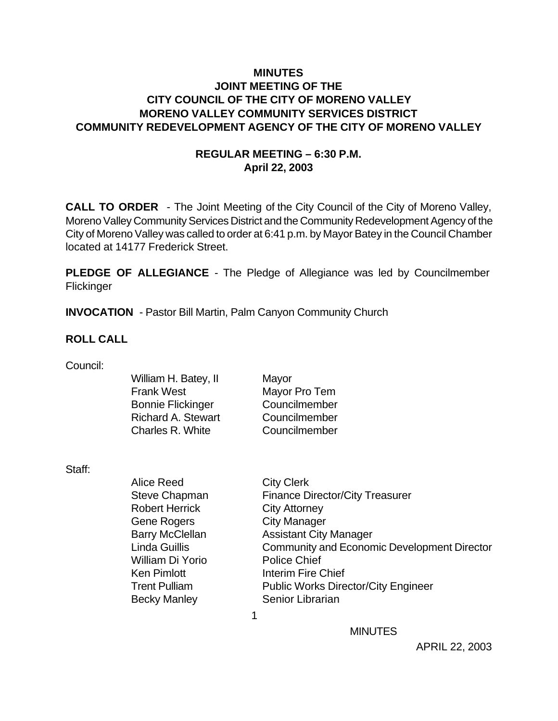### **MINUTES JOINT MEETING OF THE CITY COUNCIL OF THE CITY OF MORENO VALLEY MORENO VALLEY COMMUNITY SERVICES DISTRICT COMMUNITY REDEVELOPMENT AGENCY OF THE CITY OF MORENO VALLEY**

### **REGULAR MEETING – 6:30 P.M. April 22, 2003**

**CALL TO ORDER** - The Joint Meeting of the City Council of the City of Moreno Valley, Moreno Valley Community Services District and the Community Redevelopment Agency of the City of Moreno Valley was called to order at 6:41 p.m. by Mayor Batey in the Council Chamber located at 14177 Frederick Street.

**PLEDGE OF ALLEGIANCE** - The Pledge of Allegiance was led by Councilmember **Flickinger** 

**INVOCATION** - Pastor Bill Martin, Palm Canyon Community Church

#### **ROLL CALL**

| Council: |  |
|----------|--|
|          |  |

| William H. Batey, II      | Mayor         |
|---------------------------|---------------|
| Frank West                | Mayor Pro Tem |
| <b>Bonnie Flickinger</b>  | Councilmember |
| <b>Richard A. Stewart</b> | Councilmember |
| <b>Charles R. White</b>   | Councilmember |
|                           |               |

Staff:

| <b>City Clerk</b>                                                          |  |
|----------------------------------------------------------------------------|--|
| <b>Steve Chapman</b><br><b>Finance Director/City Treasurer</b>             |  |
| <b>Robert Herrick</b><br><b>City Attorney</b>                              |  |
| <b>City Manager</b><br><b>Gene Rogers</b>                                  |  |
| <b>Barry McClellan</b><br><b>Assistant City Manager</b>                    |  |
| <b>Linda Guillis</b><br><b>Community and Economic Development Director</b> |  |
| <b>Police Chief</b><br>William Di Yorio                                    |  |
| <b>Ken Pimlott</b><br>Interim Fire Chief                                   |  |
| <b>Public Works Director/City Engineer</b><br><b>Trent Pulliam</b>         |  |
| Senior Librarian<br><b>Becky Manley</b>                                    |  |
|                                                                            |  |

**MINUTES**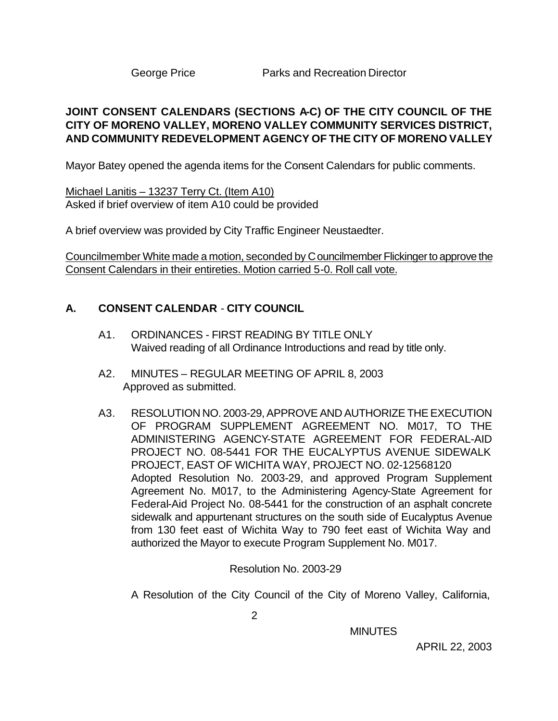### **JOINT CONSENT CALENDARS (SECTIONS A-C) OF THE CITY COUNCIL OF THE CITY OF MORENO VALLEY, MORENO VALLEY COMMUNITY SERVICES DISTRICT, AND COMMUNITY REDEVELOPMENT AGENCY OF THE CITY OF MORENO VALLEY**

Mayor Batey opened the agenda items for the Consent Calendars for public comments.

Michael Lanitis – 13237 Terry Ct. (Item A10) Asked if brief overview of item A10 could be provided

A brief overview was provided by City Traffic Engineer Neustaedter.

Councilmember White made a motion, seconded by Councilmember Flickinger to approve the Consent Calendars in their entireties. Motion carried 5-0. Roll call vote.

### **A. CONSENT CALENDAR** - **CITY COUNCIL**

- A1. ORDINANCES FIRST READING BY TITLE ONLY Waived reading of all Ordinance Introductions and read by title only.
- A2. MINUTES REGULAR MEETING OF APRIL 8, 2003 Approved as submitted.
- A3. RESOLUTION NO. 2003-29, APPROVE AND AUTHORIZE THE EXECUTION OF PROGRAM SUPPLEMENT AGREEMENT NO. M017, TO THE ADMINISTERING AGENCY-STATE AGREEMENT FOR FEDERAL-AID PROJECT NO. 08-5441 FOR THE EUCALYPTUS AVENUE SIDEWALK PROJECT, EAST OF WICHITA WAY, PROJECT NO. 02-12568120 Adopted Resolution No. 2003-29, and approved Program Supplement Agreement No. M017, to the Administering Agency-State Agreement for Federal-Aid Project No. 08-5441 for the construction of an asphalt concrete sidewalk and appurtenant structures on the south side of Eucalyptus Avenue from 130 feet east of Wichita Way to 790 feet east of Wichita Way and authorized the Mayor to execute Program Supplement No. M017.

Resolution No. 2003-29

A Resolution of the City Council of the City of Moreno Valley, California,

2

**MINUTES**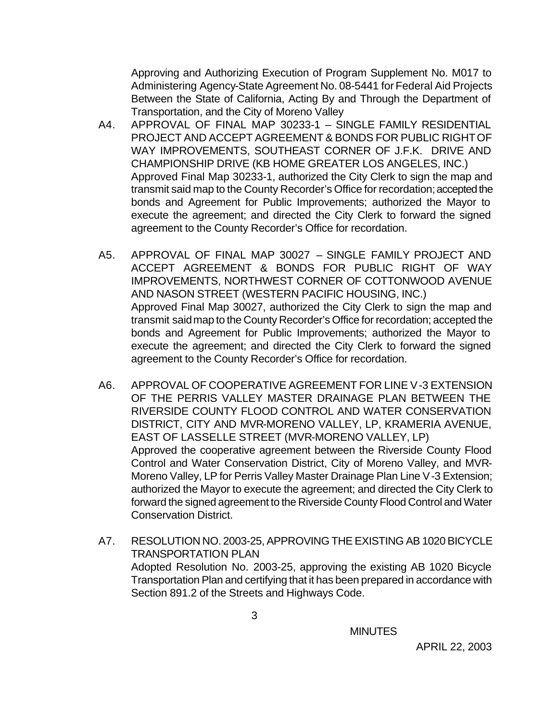Approving and Authorizing Execution of Program Supplement No. M017 to Administering Agency-State Agreement No. 08-5441 for Federal Aid Projects Between the State of California, Acting By and Through the Department of Transportation, and the City of Moreno Valley

- A4. APPROVAL OF FINAL MAP 30233-1 SINGLE FAMILY RESIDENTIAL PROJECT AND ACCEPT AGREEMENT & BONDS FOR PUBLIC RIGHT OF WAY IMPROVEMENTS, SOUTHEAST CORNER OF J.F.K. DRIVE AND CHAMPIONSHIP DRIVE (KB HOME GREATER LOS ANGELES, INC.) Approved Final Map 30233-1, authorized the City Clerk to sign the map and transmit said map to the County Recorder's Office for recordation; accepted the bonds and Agreement for Public Improvements; authorized the Mayor to execute the agreement; and directed the City Clerk to forward the signed agreement to the County Recorder's Office for recordation.
- A5. APPROVAL OF FINAL MAP 30027 SINGLE FAMILY PROJECT AND ACCEPT AGREEMENT & BONDS FOR PUBLIC RIGHT OF WAY IMPROVEMENTS, NORTHWEST CORNER OF COTTONWOOD AVENUE AND NASON STREET (WESTERN PACIFIC HOUSING, INC.) Approved Final Map 30027, authorized the City Clerk to sign the map and transmit said map to the County Recorder's Office for recordation; accepted the bonds and Agreement for Public Improvements; authorized the Mayor to execute the agreement; and directed the City Clerk to forward the signed agreement to the County Recorder's Office for recordation.
- A6. APPROVAL OF COOPERATIVE AGREEMENT FOR LINE V-3 EXTENSION OF THE PERRIS VALLEY MASTER DRAINAGE PLAN BETWEEN THE RIVERSIDE COUNTY FLOOD CONTROL AND WATER CONSERVATION DISTRICT, CITY AND MVR-MORENO VALLEY, LP, KRAMERIA AVENUE, EAST OF LASSELLE STREET (MVR-MORENO VALLEY, LP) Approved the cooperative agreement between the Riverside County Flood Control and Water Conservation District, City of Moreno Valley, and MVR-Moreno Valley, LP for Perris Valley Master Drainage Plan Line V-3 Extension; authorized the Mayor to execute the agreement; and directed the City Clerk to forward the signed agreement to the Riverside County Flood Control and Water Conservation District.
- A7. RESOLUTION NO. 2003-25, APPROVING THE EXISTING AB 1020 BICYCLE TRANSPORTATION PLAN Adopted Resolution No. 2003-25, approving the existing AB 1020 Bicycle Transportation Plan and certifying that it has been prepared in accordance with Section 891.2 of the Streets and Highways Code.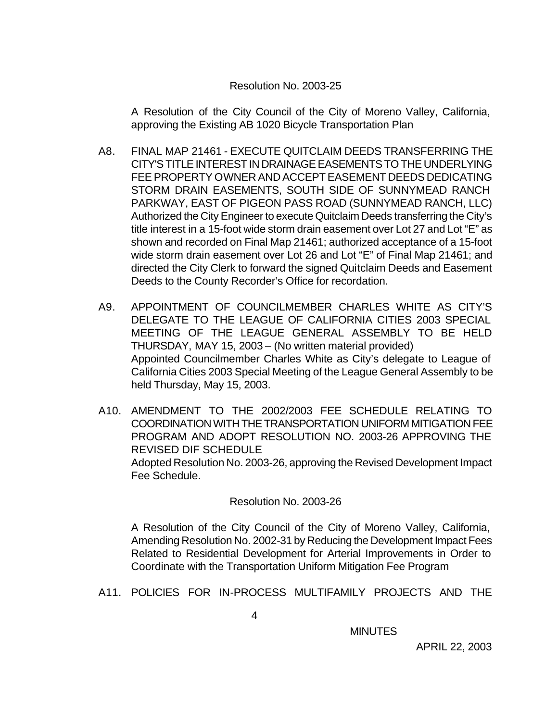#### Resolution No. 2003-25

A Resolution of the City Council of the City of Moreno Valley, California, approving the Existing AB 1020 Bicycle Transportation Plan

- A8. FINAL MAP 21461 EXECUTE QUITCLAIM DEEDS TRANSFERRING THE CITY'S TITLE INTEREST IN DRAINAGE EASEMENTS TO THE UNDERLYING FEE PROPERTY OWNER AND ACCEPT EASEMENT DEEDS DEDICATING STORM DRAIN EASEMENTS, SOUTH SIDE OF SUNNYMEAD RANCH PARKWAY, EAST OF PIGEON PASS ROAD (SUNNYMEAD RANCH, LLC) Authorized the City Engineer to execute Quitclaim Deeds transferring the City's title interest in a 15-foot wide storm drain easement over Lot 27 and Lot "E" as shown and recorded on Final Map 21461; authorized acceptance of a 15-foot wide storm drain easement over Lot 26 and Lot "E" of Final Map 21461; and directed the City Clerk to forward the signed Quitclaim Deeds and Easement Deeds to the County Recorder's Office for recordation.
- A9. APPOINTMENT OF COUNCILMEMBER CHARLES WHITE AS CITY'S DELEGATE TO THE LEAGUE OF CALIFORNIA CITIES 2003 SPECIAL MEETING OF THE LEAGUE GENERAL ASSEMBLY TO BE HELD THURSDAY, MAY 15, 2003 – (No written material provided) Appointed Councilmember Charles White as City's delegate to League of California Cities 2003 Special Meeting of the League General Assembly to be held Thursday, May 15, 2003.
- A10. AMENDMENT TO THE 2002/2003 FEE SCHEDULE RELATING TO COORDINATION WITH THE TRANSPORTATION UNIFORM MITIGATION FEE PROGRAM AND ADOPT RESOLUTION NO. 2003-26 APPROVING THE REVISED DIF SCHEDULE Adopted Resolution No. 2003-26, approving the Revised Development Impact Fee Schedule.

### Resolution No. 2003-26

A Resolution of the City Council of the City of Moreno Valley, California, Amending Resolution No. 2002-31 by Reducing the Development Impact Fees Related to Residential Development for Arterial Improvements in Order to Coordinate with the Transportation Uniform Mitigation Fee Program

A11. POLICIES FOR IN-PROCESS MULTIFAMILY PROJECTS AND THE

**MINUTES**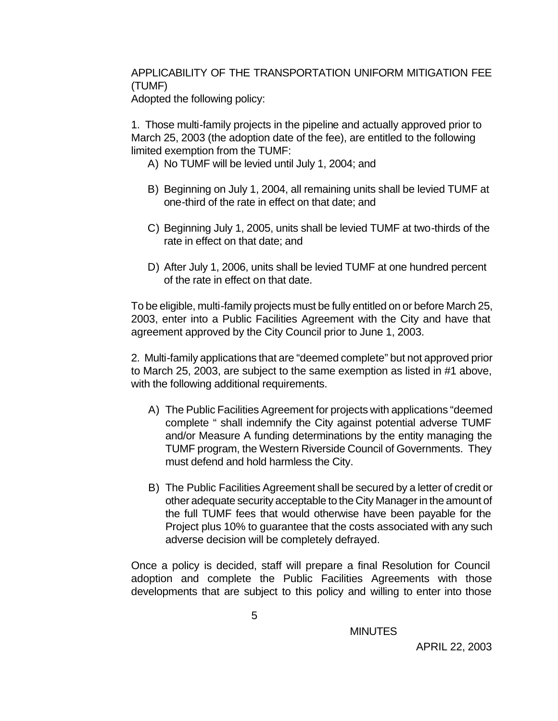# APPLICABILITY OF THE TRANSPORTATION UNIFORM MITIGATION FEE (TUMF)

Adopted the following policy:

1. Those multi-family projects in the pipeline and actually approved prior to March 25, 2003 (the adoption date of the fee), are entitled to the following limited exemption from the TUMF:

- A) No TUMF will be levied until July 1, 2004; and
- B) Beginning on July 1, 2004, all remaining units shall be levied TUMF at one-third of the rate in effect on that date; and
- C) Beginning July 1, 2005, units shall be levied TUMF at two-thirds of the rate in effect on that date; and
- D) After July 1, 2006, units shall be levied TUMF at one hundred percent of the rate in effect on that date.

To be eligible, multi-family projects must be fully entitled on or before March 25, 2003, enter into a Public Facilities Agreement with the City and have that agreement approved by the City Council prior to June 1, 2003.

2. Multi-family applications that are "deemed complete" but not approved prior to March 25, 2003, are subject to the same exemption as listed in #1 above, with the following additional requirements.

- A) The Public Facilities Agreement for projects with applications "deemed complete " shall indemnify the City against potential adverse TUMF and/or Measure A funding determinations by the entity managing the TUMF program, the Western Riverside Council of Governments. They must defend and hold harmless the City.
- B) The Public Facilities Agreement shall be secured by a letter of credit or other adequate security acceptable to the City Manager in the amount of the full TUMF fees that would otherwise have been payable for the Project plus 10% to guarantee that the costs associated with any such adverse decision will be completely defrayed.

Once a policy is decided, staff will prepare a final Resolution for Council adoption and complete the Public Facilities Agreements with those developments that are subject to this policy and willing to enter into those

**MINUTES**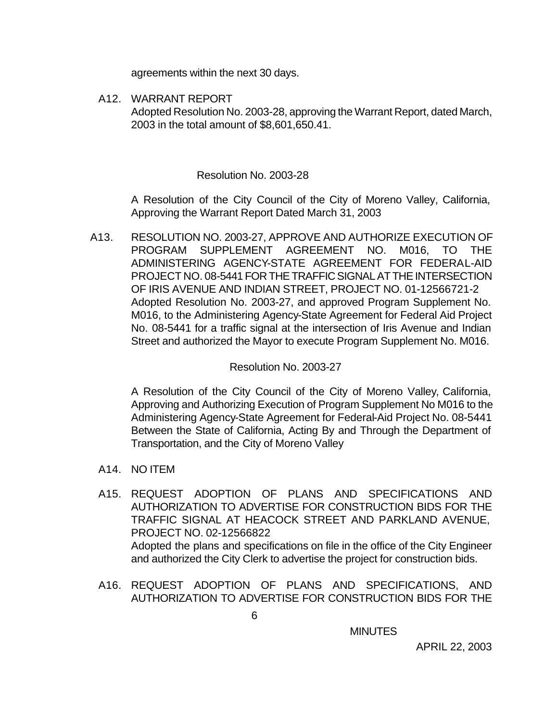agreements within the next 30 days.

A12. WARRANT REPORT Adopted Resolution No. 2003-28, approving the Warrant Report, dated March, 2003 in the total amount of \$8,601,650.41.

#### Resolution No. 2003-28

A Resolution of the City Council of the City of Moreno Valley, California, Approving the Warrant Report Dated March 31, 2003

A13. RESOLUTION NO. 2003-27, APPROVE AND AUTHORIZE EXECUTION OF PROGRAM SUPPLEMENT AGREEMENT NO. M016, TO THE ADMINISTERING AGENCY-STATE AGREEMENT FOR FEDERAL-AID PROJECT NO. 08-5441 FOR THE TRAFFIC SIGNAL AT THE INTERSECTION OF IRIS AVENUE AND INDIAN STREET, PROJECT NO. 01-12566721-2 Adopted Resolution No. 2003-27, and approved Program Supplement No. M016, to the Administering Agency-State Agreement for Federal Aid Project No. 08-5441 for a traffic signal at the intersection of Iris Avenue and Indian Street and authorized the Mayor to execute Program Supplement No. M016.

#### Resolution No. 2003-27

A Resolution of the City Council of the City of Moreno Valley, California, Approving and Authorizing Execution of Program Supplement No M016 to the Administering Agency-State Agreement for Federal-Aid Project No. 08-5441 Between the State of California, Acting By and Through the Department of Transportation, and the City of Moreno Valley

- A14. NO ITEM
- A15. REQUEST ADOPTION OF PLANS AND SPECIFICATIONS AND AUTHORIZATION TO ADVERTISE FOR CONSTRUCTION BIDS FOR THE TRAFFIC SIGNAL AT HEACOCK STREET AND PARKLAND AVENUE, PROJECT NO. 02-12566822 Adopted the plans and specifications on file in the office of the City Engineer and authorized the City Clerk to advertise the project for construction bids.
- A16. REQUEST ADOPTION OF PLANS AND SPECIFICATIONS, AND AUTHORIZATION TO ADVERTISE FOR CONSTRUCTION BIDS FOR THE

**MINUTES**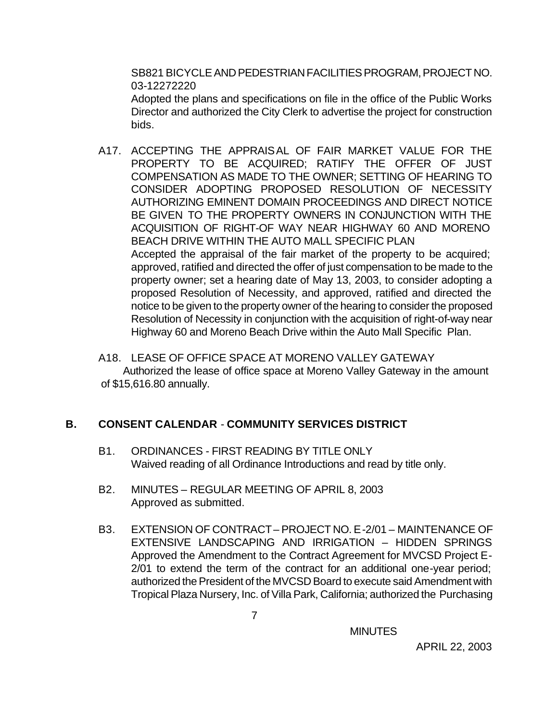SB821 BICYCLE AND PEDESTRIAN FACILITIES PROGRAM, PROJECT NO. 03-12272220

Adopted the plans and specifications on file in the office of the Public Works Director and authorized the City Clerk to advertise the project for construction bids.

- A17. ACCEPTING THE APPRAISAL OF FAIR MARKET VALUE FOR THE PROPERTY TO BE ACQUIRED; RATIFY THE OFFER OF JUST COMPENSATION AS MADE TO THE OWNER; SETTING OF HEARING TO CONSIDER ADOPTING PROPOSED RESOLUTION OF NECESSITY AUTHORIZING EMINENT DOMAIN PROCEEDINGS AND DIRECT NOTICE BE GIVEN TO THE PROPERTY OWNERS IN CONJUNCTION WITH THE ACQUISITION OF RIGHT-OF WAY NEAR HIGHWAY 60 AND MORENO BEACH DRIVE WITHIN THE AUTO MALL SPECIFIC PLAN Accepted the appraisal of the fair market of the property to be acquired; approved, ratified and directed the offer of just compensation to be made to the property owner; set a hearing date of May 13, 2003, to consider adopting a proposed Resolution of Necessity, and approved, ratified and directed the notice to be given to the property owner of the hearing to consider the proposed Resolution of Necessity in conjunction with the acquisition of right-of-way near Highway 60 and Moreno Beach Drive within the Auto Mall Specific Plan.
- A18. LEASE OF OFFICE SPACE AT MORENO VALLEY GATEWAY Authorized the lease of office space at Moreno Valley Gateway in the amount of \$15,616.80 annually.

# **B. CONSENT CALENDAR** - **COMMUNITY SERVICES DISTRICT**

- B1. ORDINANCES FIRST READING BY TITLE ONLY Waived reading of all Ordinance Introductions and read by title only.
- B2. MINUTES REGULAR MEETING OF APRIL 8, 2003 Approved as submitted.
- B3. EXTENSION OF CONTRACT PROJECT NO. E-2/01 MAINTENANCE OF EXTENSIVE LANDSCAPING AND IRRIGATION – HIDDEN SPRINGS Approved the Amendment to the Contract Agreement for MVCSD Project E-2/01 to extend the term of the contract for an additional one-year period; authorized the President of the MVCSD Board to execute said Amendment with Tropical Plaza Nursery, Inc. of Villa Park, California; authorized the Purchasing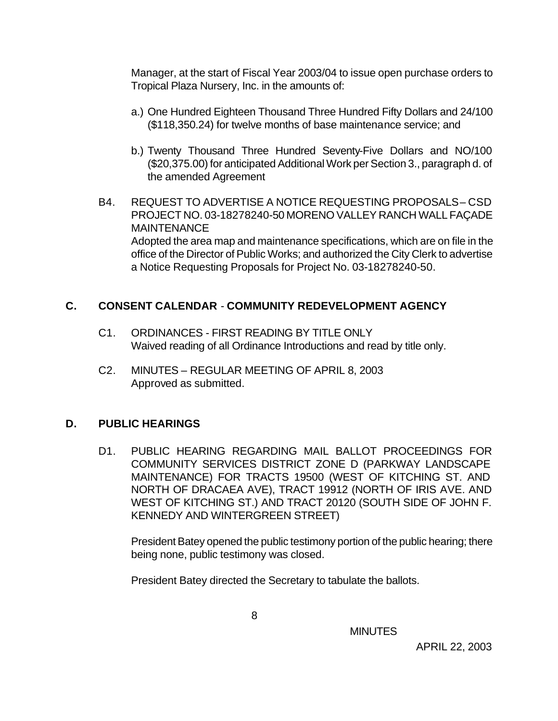Manager, at the start of Fiscal Year 2003/04 to issue open purchase orders to Tropical Plaza Nursery, Inc. in the amounts of:

- a.) One Hundred Eighteen Thousand Three Hundred Fifty Dollars and 24/100 (\$118,350.24) for twelve months of base maintenance service; and
- b.) Twenty Thousand Three Hundred Seventy-Five Dollars and NO/100 (\$20,375.00) for anticipated Additional Work per Section 3., paragraph d. of the amended Agreement
- B4. REQUEST TO ADVERTISE A NOTICE REQUESTING PROPOSALS CSD PROJECT NO. 03-18278240-50 MORENO VALLEY RANCH WALL FAÇADE **MAINTENANCE** Adopted the area map and maintenance specifications, which are on file in the office of the Director of Public Works; and authorized the City Clerk to advertise a Notice Requesting Proposals for Project No. 03-18278240-50.

### **C. CONSENT CALENDAR** - **COMMUNITY REDEVELOPMENT AGENCY**

- C1. ORDINANCES FIRST READING BY TITLE ONLY Waived reading of all Ordinance Introductions and read by title only.
- C2. MINUTES REGULAR MEETING OF APRIL 8, 2003 Approved as submitted.

### **D. PUBLIC HEARINGS**

D1. PUBLIC HEARING REGARDING MAIL BALLOT PROCEEDINGS FOR COMMUNITY SERVICES DISTRICT ZONE D (PARKWAY LANDSCAPE MAINTENANCE) FOR TRACTS 19500 (WEST OF KITCHING ST. AND NORTH OF DRACAEA AVE), TRACT 19912 (NORTH OF IRIS AVE. AND WEST OF KITCHING ST.) AND TRACT 20120 (SOUTH SIDE OF JOHN F. KENNEDY AND WINTERGREEN STREET)

President Batey opened the public testimony portion of the public hearing; there being none, public testimony was closed.

President Batey directed the Secretary to tabulate the ballots.

**MINUTES**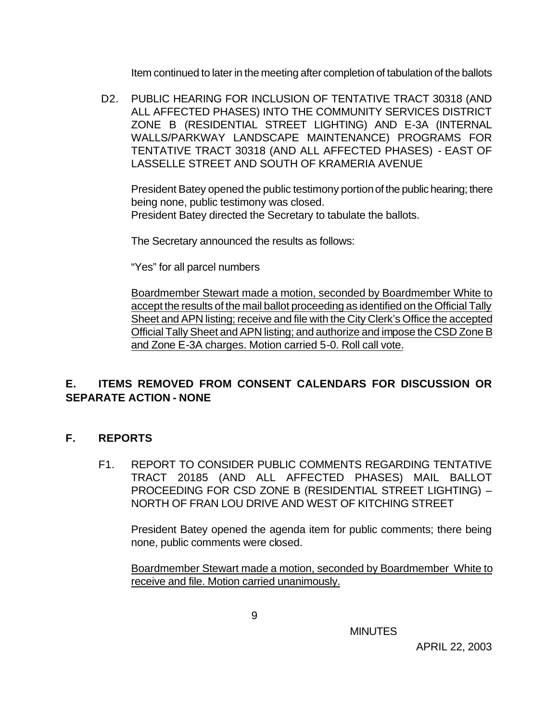Item continued to later in the meeting after completion of tabulation of the ballots

 D2. PUBLIC HEARING FOR INCLUSION OF TENTATIVE TRACT 30318 (AND ALL AFFECTED PHASES) INTO THE COMMUNITY SERVICES DISTRICT ZONE B (RESIDENTIAL STREET LIGHTING) AND E-3A (INTERNAL WALLS/PARKWAY LANDSCAPE MAINTENANCE) PROGRAMS FOR TENTATIVE TRACT 30318 (AND ALL AFFECTED PHASES) - EAST OF LASSELLE STREET AND SOUTH OF KRAMERIA AVENUE

President Batey opened the public testimony portion of the public hearing; there being none, public testimony was closed. President Batey directed the Secretary to tabulate the ballots.

The Secretary announced the results as follows:

"Yes" for all parcel numbers

Boardmember Stewart made a motion, seconded by Boardmember White to accept the results of the mail ballot proceeding as identified on the Official Tally Sheet and APN listing; receive and file with the City Clerk's Office the accepted Official Tally Sheet and APN listing; and authorize and impose the CSD Zone B and Zone E-3A charges. Motion carried 5-0. Roll call vote.

# **E. ITEMS REMOVED FROM CONSENT CALENDARS FOR DISCUSSION OR SEPARATE ACTION - NONE**

### **F. REPORTS**

F1. REPORT TO CONSIDER PUBLIC COMMENTS REGARDING TENTATIVE TRACT 20185 (AND ALL AFFECTED PHASES) MAIL BALLOT PROCEEDING FOR CSD ZONE B (RESIDENTIAL STREET LIGHTING) – NORTH OF FRAN LOU DRIVE AND WEST OF KITCHING STREET

President Batey opened the agenda item for public comments; there being none, public comments were closed.

Boardmember Stewart made a motion, seconded by Boardmember White to receive and file. Motion carried unanimously.

**MINUTES**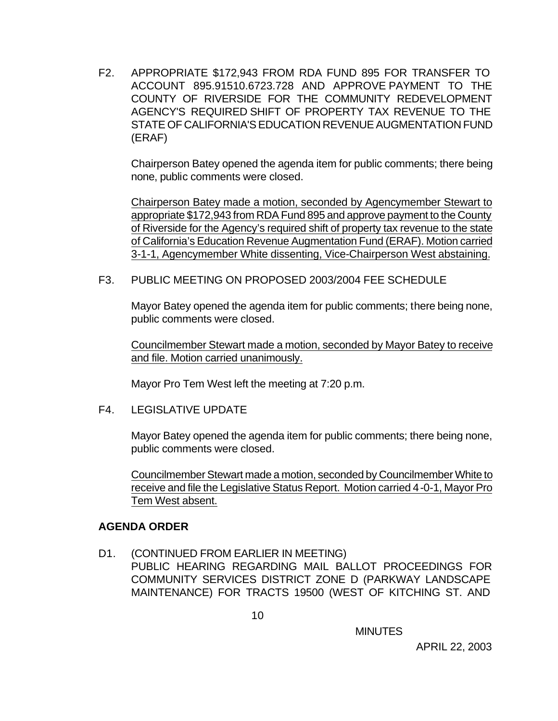F2. APPROPRIATE \$172,943 FROM RDA FUND 895 FOR TRANSFER TO ACCOUNT 895.91510.6723.728 AND APPROVE PAYMENT TO THE COUNTY OF RIVERSIDE FOR THE COMMUNITY REDEVELOPMENT AGENCY'S REQUIRED SHIFT OF PROPERTY TAX REVENUE TO THE STATE OF CALIFORNIA'S EDUCATION REVENUE AUGMENTATION FUND (ERAF)

Chairperson Batey opened the agenda item for public comments; there being none, public comments were closed.

Chairperson Batey made a motion, seconded by Agencymember Stewart to appropriate \$172,943 from RDA Fund 895 and approve payment to the County of Riverside for the Agency's required shift of property tax revenue to the state of California's Education Revenue Augmentation Fund (ERAF). Motion carried 3-1-1, Agencymember White dissenting, Vice-Chairperson West abstaining.

#### F3. PUBLIC MEETING ON PROPOSED 2003/2004 FEE SCHEDULE

Mayor Batey opened the agenda item for public comments; there being none, public comments were closed.

Councilmember Stewart made a motion, seconded by Mayor Batey to receive and file. Motion carried unanimously.

Mayor Pro Tem West left the meeting at 7:20 p.m.

#### F4. LEGISLATIVE UPDATE

Mayor Batey opened the agenda item for public comments; there being none, public comments were closed.

Councilmember Stewart made a motion, seconded by Councilmember White to receive and file the Legislative Status Report. Motion carried 4-0-1, Mayor Pro Tem West absent.

#### **AGENDA ORDER**

D1. (CONTINUED FROM EARLIER IN MEETING) PUBLIC HEARING REGARDING MAIL BALLOT PROCEEDINGS FOR COMMUNITY SERVICES DISTRICT ZONE D (PARKWAY LANDSCAPE MAINTENANCE) FOR TRACTS 19500 (WEST OF KITCHING ST. AND

**MINUTES**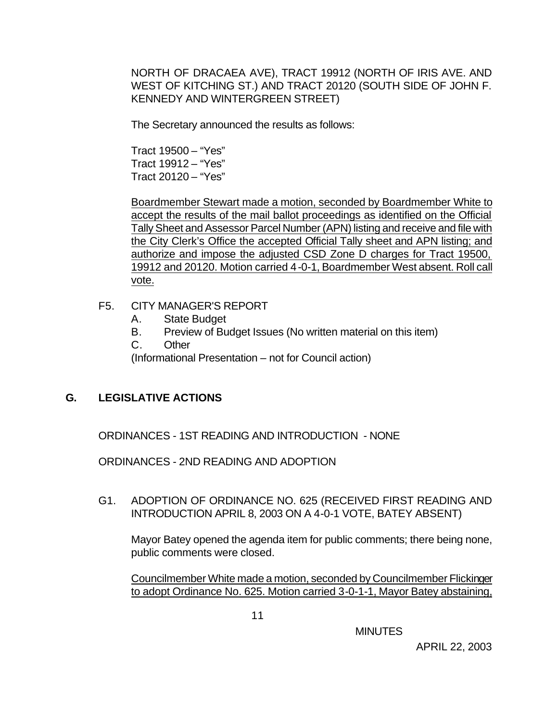NORTH OF DRACAEA AVE), TRACT 19912 (NORTH OF IRIS AVE. AND WEST OF KITCHING ST.) AND TRACT 20120 (SOUTH SIDE OF JOHN F. KENNEDY AND WINTERGREEN STREET)

The Secretary announced the results as follows:

Tract 19500 – "Yes" Tract 19912 – "Yes" Tract 20120 – "Yes"

Boardmember Stewart made a motion, seconded by Boardmember White to accept the results of the mail ballot proceedings as identified on the Official Tally Sheet and Assessor Parcel Number (APN) listing and receive and file with the City Clerk's Office the accepted Official Tally sheet and APN listing; and authorize and impose the adjusted CSD Zone D charges for Tract 19500, 19912 and 20120. Motion carried 4-0-1, Boardmember West absent. Roll call vote.

#### F5. CITY MANAGER'S REPORT

- A. State Budget
- B. Preview of Budget Issues (No written material on this item)
- C. Other

(Informational Presentation – not for Council action)

### **G. LEGISLATIVE ACTIONS**

ORDINANCES - 1ST READING AND INTRODUCTION - NONE

ORDINANCES - 2ND READING AND ADOPTION

G1. ADOPTION OF ORDINANCE NO. 625 (RECEIVED FIRST READING AND INTRODUCTION APRIL 8, 2003 ON A 4-0-1 VOTE, BATEY ABSENT)

Mayor Batey opened the agenda item for public comments; there being none, public comments were closed.

Councilmember White made a motion, seconded by Councilmember Flickinger to adopt Ordinance No. 625. Motion carried 3-0-1-1, Mayor Batey abstaining,

**MINUTES**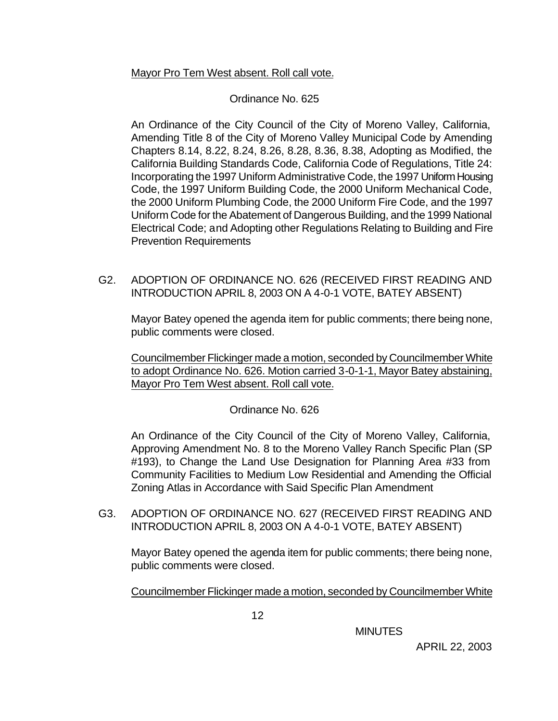### Mayor Pro Tem West absent. Roll call vote.

### Ordinance No. 625

An Ordinance of the City Council of the City of Moreno Valley, California, Amending Title 8 of the City of Moreno Valley Municipal Code by Amending Chapters 8.14, 8.22, 8.24, 8.26, 8.28, 8.36, 8.38, Adopting as Modified, the California Building Standards Code, California Code of Regulations, Title 24: Incorporating the 1997 Uniform Administrative Code, the 1997 Uniform Housing Code, the 1997 Uniform Building Code, the 2000 Uniform Mechanical Code, the 2000 Uniform Plumbing Code, the 2000 Uniform Fire Code, and the 1997 Uniform Code for the Abatement of Dangerous Building, and the 1999 National Electrical Code; and Adopting other Regulations Relating to Building and Fire Prevention Requirements

G2. ADOPTION OF ORDINANCE NO. 626 (RECEIVED FIRST READING AND INTRODUCTION APRIL 8, 2003 ON A 4-0-1 VOTE, BATEY ABSENT)

Mayor Batey opened the agenda item for public comments; there being none, public comments were closed.

Councilmember Flickinger made a motion, seconded by Councilmember White to adopt Ordinance No. 626. Motion carried 3-0-1-1, Mayor Batey abstaining, Mayor Pro Tem West absent. Roll call vote.

### Ordinance No. 626

An Ordinance of the City Council of the City of Moreno Valley, California, Approving Amendment No. 8 to the Moreno Valley Ranch Specific Plan (SP #193), to Change the Land Use Designation for Planning Area #33 from Community Facilities to Medium Low Residential and Amending the Official Zoning Atlas in Accordance with Said Specific Plan Amendment

G3. ADOPTION OF ORDINANCE NO. 627 (RECEIVED FIRST READING AND INTRODUCTION APRIL 8, 2003 ON A 4-0-1 VOTE, BATEY ABSENT)

Mayor Batey opened the agenda item for public comments; there being none, public comments were closed.

Councilmember Flickinger made a motion, seconded by Councilmember White

**MINUTES**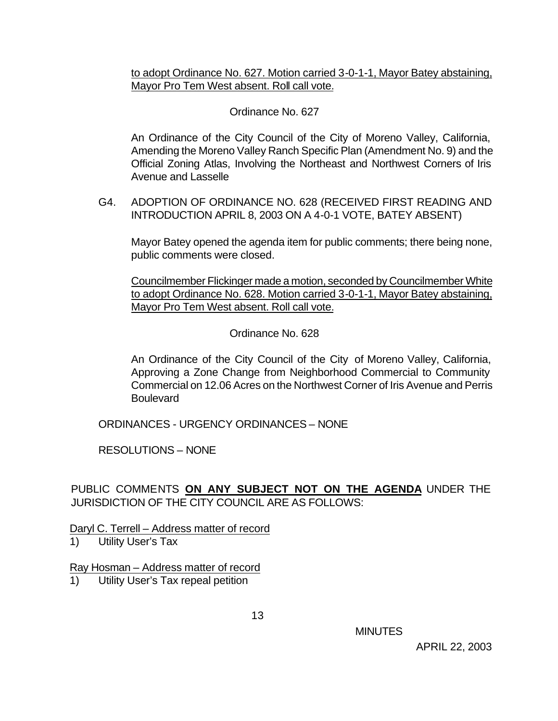to adopt Ordinance No. 627. Motion carried 3-0-1-1, Mayor Batey abstaining, Mayor Pro Tem West absent. Roll call vote.

## Ordinance No. 627

An Ordinance of the City Council of the City of Moreno Valley, California, Amending the Moreno Valley Ranch Specific Plan (Amendment No. 9) and the Official Zoning Atlas, Involving the Northeast and Northwest Corners of Iris Avenue and Lasselle

G4. ADOPTION OF ORDINANCE NO. 628 (RECEIVED FIRST READING AND INTRODUCTION APRIL 8, 2003 ON A 4-0-1 VOTE, BATEY ABSENT)

Mayor Batey opened the agenda item for public comments; there being none, public comments were closed.

Councilmember Flickinger made a motion, seconded by Councilmember White to adopt Ordinance No. 628. Motion carried 3-0-1-1, Mayor Batey abstaining, Mayor Pro Tem West absent. Roll call vote.

Ordinance No. 628

An Ordinance of the City Council of the City of Moreno Valley, California, Approving a Zone Change from Neighborhood Commercial to Community Commercial on 12.06 Acres on the Northwest Corner of Iris Avenue and Perris **Boulevard** 

ORDINANCES - URGENCY ORDINANCES – NONE

RESOLUTIONS – NONE

PUBLIC COMMENTS **ON ANY SUBJECT NOT ON THE AGENDA** UNDER THE JURISDICTION OF THE CITY COUNCIL ARE AS FOLLOWS:

Daryl C. Terrell – Address matter of record

1) Utility User's Tax

Ray Hosman – Address matter of record

1) Utility User's Tax repeal petition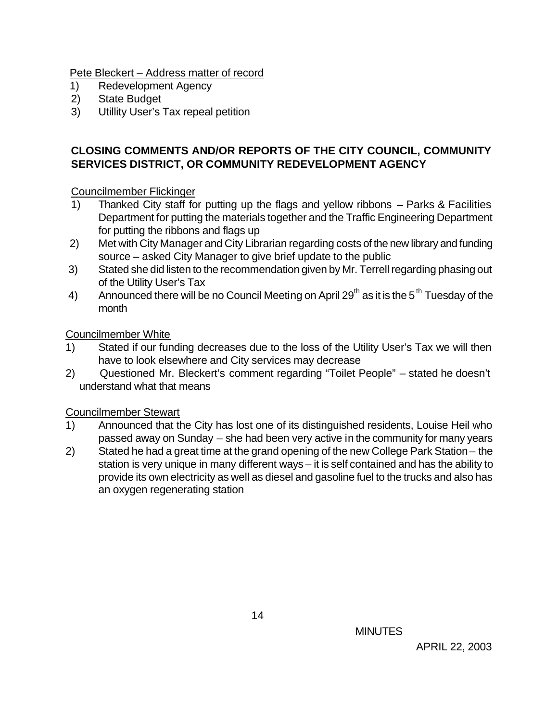Pete Bleckert – Address matter of record

- 1) Redevelopment Agency
- 2) State Budget
- 3) Utillity User's Tax repeal petition

# **CLOSING COMMENTS AND/OR REPORTS OF THE CITY COUNCIL, COMMUNITY SERVICES DISTRICT, OR COMMUNITY REDEVELOPMENT AGENCY**

Councilmember Flickinger

- 1) Thanked City staff for putting up the flags and yellow ribbons Parks & Facilities Department for putting the materials together and the Traffic Engineering Department for putting the ribbons and flags up
- 2) Met with City Manager and City Librarian regarding costs of the new library and funding source – asked City Manager to give brief update to the public
- 3) Stated she did listen to the recommendation given by Mr. Terrell regarding phasing out of the Utility User's Tax
- 4) Announced there will be no Council Meeting on April 29<sup>th</sup> as it is the 5<sup>th</sup> Tuesday of the month

Councilmember White

- 1) Stated if our funding decreases due to the loss of the Utility User's Tax we will then have to look elsewhere and City services may decrease
- 2) Questioned Mr. Bleckert's comment regarding "Toilet People" stated he doesn't understand what that means

Councilmember Stewart

- 1) Announced that the City has lost one of its distinguished residents, Louise Heil who passed away on Sunday – she had been very active in the community for many years
- 2) Stated he had a great time at the grand opening of the new College Park Station the station is very unique in many different ways – it is self contained and has the ability to provide its own electricity as well as diesel and gasoline fuel to the trucks and also has an oxygen regenerating station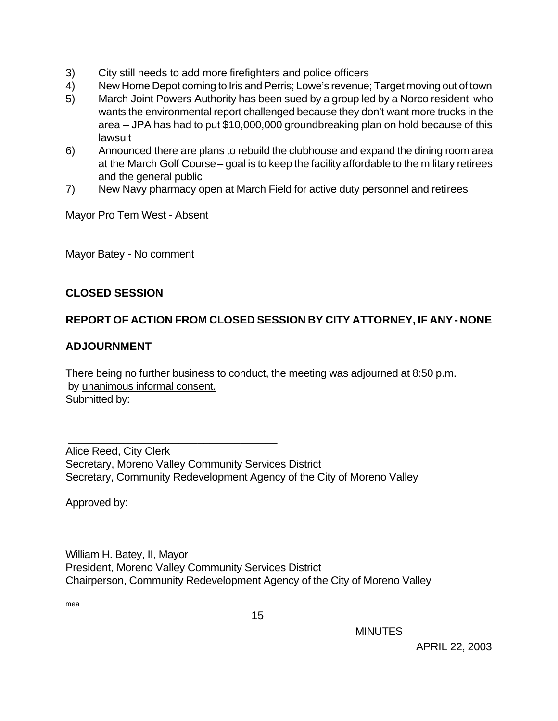- 3) City still needs to add more firefighters and police officers
- 4) New Home Depot coming to Iris and Perris; Lowe's revenue; Target moving out of town
- 5) March Joint Powers Authority has been sued by a group led by a Norco resident who wants the environmental report challenged because they don't want more trucks in the area – JPA has had to put \$10,000,000 groundbreaking plan on hold because of this lawsuit
- 6) Announced there are plans to rebuild the clubhouse and expand the dining room area at the March Golf Course – goal is to keep the facility affordable to the military retirees and the general public
- 7) New Navy pharmacy open at March Field for active duty personnel and retirees

Mayor Pro Tem West - Absent

Mayor Batey - No comment

### **CLOSED SESSION**

### **REPORT OF ACTION FROM CLOSED SESSION BY CITY ATTORNEY, IF ANY - NONE**

#### **ADJOURNMENT**

There being no further business to conduct, the meeting was adjourned at 8:50 p.m. by unanimous informal consent. Submitted by:

Alice Reed, City Clerk Secretary, Moreno Valley Community Services District Secretary, Community Redevelopment Agency of the City of Moreno Valley

\_\_\_\_\_\_\_\_\_\_\_\_\_\_\_\_\_\_\_\_\_\_\_\_\_\_\_\_\_\_\_\_\_\_

\_\_\_\_\_\_\_\_\_\_\_\_\_\_\_\_\_\_\_\_\_\_\_\_\_\_\_\_\_\_\_\_\_\_\_\_\_

Approved by:

William H. Batey, II, Mayor President, Moreno Valley Community Services District Chairperson, Community Redevelopment Agency of the City of Moreno Valley

mea